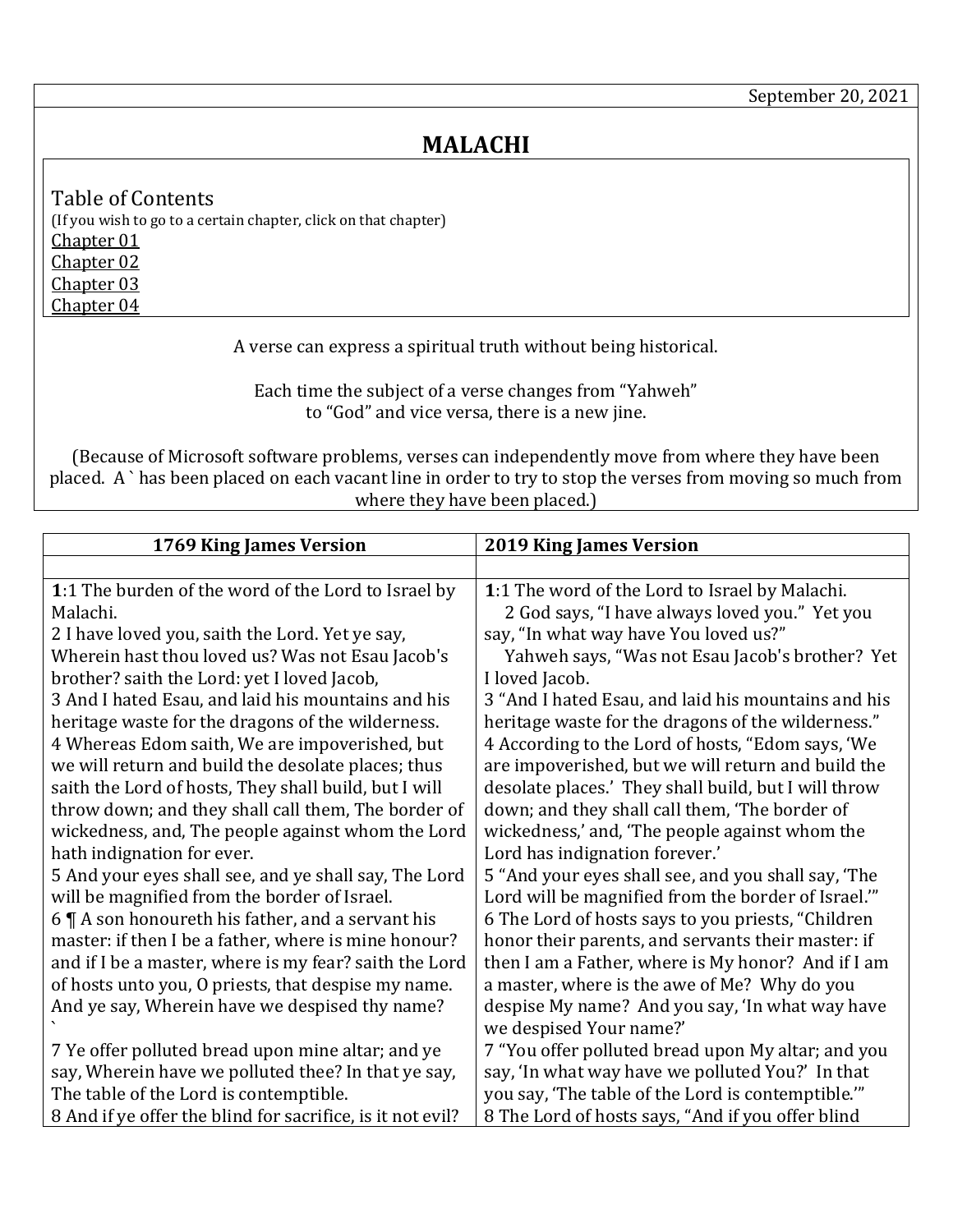## **MALACHI**

<span id="page-0-4"></span><span id="page-0-3"></span><span id="page-0-2"></span><span id="page-0-1"></span>Table of Contents (If you wish to go to a certain chapter, click on that chapter) [Chapter 01](#page-0-0) [Chapter 02](#page-1-0) [Chapter 03](#page-3-0) [Chapter 04](#page-4-0)

A verse can express a spiritual truth without being historical.

Each time the subject of a verse changes from "Yahweh" to "God" and vice versa, there is a new jine.

(Because of Microsoft software problems, verses can independently move from where they have been placed. A ` has been placed on each vacant line in order to try to stop the verses from moving so much from where they have been placed.)

<span id="page-0-0"></span>

| 1769 King James Version                                    | <b>2019 King James Version</b>                       |
|------------------------------------------------------------|------------------------------------------------------|
|                                                            |                                                      |
| 1:1 The burden of the word of the Lord to Israel by        | 1:1 The word of the Lord to Israel by Malachi.       |
| Malachi.                                                   | 2 God says, "I have always loved you." Yet you       |
| 2 I have loved you, saith the Lord. Yet ye say,            | say, "In what way have You loved us?"                |
| Wherein hast thou loved us? Was not Esau Jacob's           | Yahweh says, "Was not Esau Jacob's brother? Yet      |
| brother? saith the Lord: yet I loved Jacob,                | I loved Jacob.                                       |
| 3 And I hated Esau, and laid his mountains and his         | 3 "And I hated Esau, and laid his mountains and his  |
| heritage waste for the dragons of the wilderness.          | heritage waste for the dragons of the wilderness."   |
| 4 Whereas Edom saith, We are impoverished, but             | 4 According to the Lord of hosts, "Edom says, 'We    |
| we will return and build the desolate places; thus         | are impoverished, but we will return and build the   |
| saith the Lord of hosts, They shall build, but I will      | desolate places.' They shall build, but I will throw |
| throw down; and they shall call them, The border of        | down; and they shall call them, 'The border of       |
| wickedness, and, The people against whom the Lord          | wickedness,' and, 'The people against whom the       |
| hath indignation for ever.                                 | Lord has indignation forever.'                       |
| 5 And your eyes shall see, and ye shall say, The Lord      | 5 "And your eyes shall see, and you shall say, 'The  |
| will be magnified from the border of Israel.               | Lord will be magnified from the border of Israel.""  |
| 6 $\P$ A son honoureth his father, and a servant his       | 6 The Lord of hosts says to you priests, "Children   |
| master: if then I be a father, where is mine honour?       | honor their parents, and servants their master: if   |
| and if I be a master, where is my fear? saith the Lord     | then I am a Father, where is My honor? And if I am   |
| of hosts unto you, O priests, that despise my name.        | a master, where is the awe of Me? Why do you         |
| And ye say, Wherein have we despised thy name?             | despise My name? And you say, 'In what way have      |
|                                                            | we despised Your name?'                              |
| 7 Ye offer polluted bread upon mine altar; and ye          | 7 "You offer polluted bread upon My altar; and you   |
| say, Wherein have we polluted thee? In that ye say,        | say, 'In what way have we polluted You?' In that     |
| The table of the Lord is contemptible.                     | you say, 'The table of the Lord is contemptible."    |
| 8 And if ye offer the blind for sacrifice, is it not evil? | 8 The Lord of hosts says, "And if you offer blind    |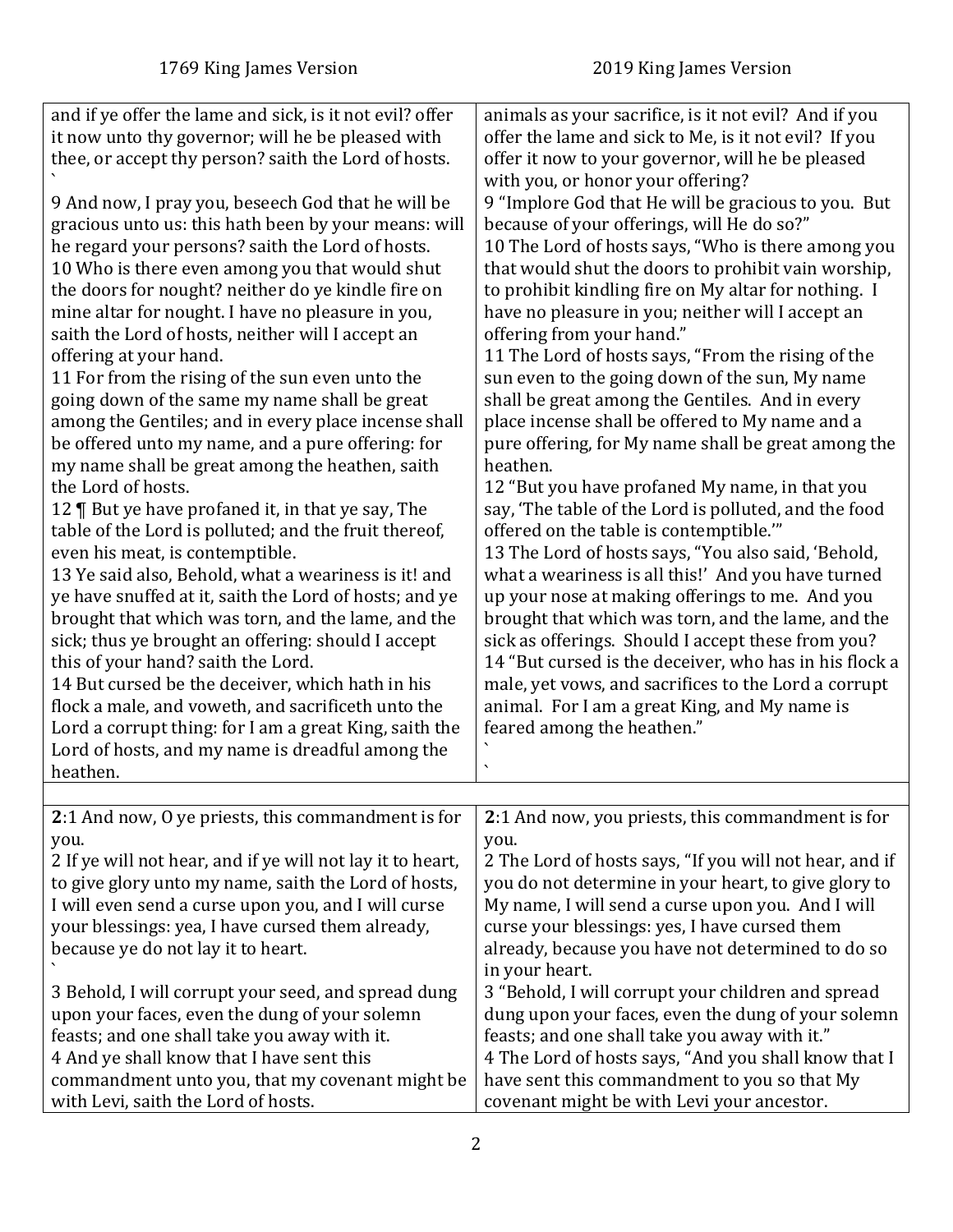<span id="page-1-0"></span>

| and if ye offer the lame and sick, is it not evil? offer<br>it now unto thy governor; will he be pleased with<br>thee, or accept thy person? saith the Lord of hosts.<br>9 And now, I pray you, beseech God that he will be<br>gracious unto us: this hath been by your means: will<br>he regard your persons? saith the Lord of hosts.<br>10 Who is there even among you that would shut<br>the doors for nought? neither do ye kindle fire on<br>mine altar for nought. I have no pleasure in you,<br>saith the Lord of hosts, neither will I accept an<br>offering at your hand.<br>11 For from the rising of the sun even unto the<br>going down of the same my name shall be great<br>among the Gentiles; and in every place incense shall<br>be offered unto my name, and a pure offering: for<br>my name shall be great among the heathen, saith<br>the Lord of hosts.<br>12   But ye have profaned it, in that ye say, The<br>table of the Lord is polluted; and the fruit thereof,<br>even his meat, is contemptible.<br>13 Ye said also, Behold, what a weariness is it! and<br>ye have snuffed at it, saith the Lord of hosts; and ye<br>brought that which was torn, and the lame, and the<br>sick; thus ye brought an offering: should I accept<br>this of your hand? saith the Lord.<br>14 But cursed be the deceiver, which hath in his<br>flock a male, and voweth, and sacrificeth unto the<br>Lord a corrupt thing: for I am a great King, saith the<br>Lord of hosts, and my name is dreadful among the<br>heathen. | animals as your sacrifice, is it not evil? And if you<br>offer the lame and sick to Me, is it not evil? If you<br>offer it now to your governor, will he be pleased<br>with you, or honor your offering?<br>9 "Implore God that He will be gracious to you. But<br>because of your offerings, will He do so?"<br>10 The Lord of hosts says, "Who is there among you<br>that would shut the doors to prohibit vain worship,<br>to prohibit kindling fire on My altar for nothing. I<br>have no pleasure in you; neither will I accept an<br>offering from your hand."<br>11 The Lord of hosts says, "From the rising of the<br>sun even to the going down of the sun, My name<br>shall be great among the Gentiles. And in every<br>place incense shall be offered to My name and a<br>pure offering, for My name shall be great among the<br>heathen.<br>12 "But you have profaned My name, in that you<br>say, 'The table of the Lord is polluted, and the food<br>offered on the table is contemptible."<br>13 The Lord of hosts says, "You also said, 'Behold,<br>what a weariness is all this!' And you have turned<br>up your nose at making offerings to me. And you<br>brought that which was torn, and the lame, and the<br>sick as offerings. Should I accept these from you?<br>14 "But cursed is the deceiver, who has in his flock a<br>male, yet vows, and sacrifices to the Lord a corrupt<br>animal. For I am a great King, and My name is<br>feared among the heathen." |
|----------------------------------------------------------------------------------------------------------------------------------------------------------------------------------------------------------------------------------------------------------------------------------------------------------------------------------------------------------------------------------------------------------------------------------------------------------------------------------------------------------------------------------------------------------------------------------------------------------------------------------------------------------------------------------------------------------------------------------------------------------------------------------------------------------------------------------------------------------------------------------------------------------------------------------------------------------------------------------------------------------------------------------------------------------------------------------------------------------------------------------------------------------------------------------------------------------------------------------------------------------------------------------------------------------------------------------------------------------------------------------------------------------------------------------------------------------------------------------------------------------------------------------------|-----------------------------------------------------------------------------------------------------------------------------------------------------------------------------------------------------------------------------------------------------------------------------------------------------------------------------------------------------------------------------------------------------------------------------------------------------------------------------------------------------------------------------------------------------------------------------------------------------------------------------------------------------------------------------------------------------------------------------------------------------------------------------------------------------------------------------------------------------------------------------------------------------------------------------------------------------------------------------------------------------------------------------------------------------------------------------------------------------------------------------------------------------------------------------------------------------------------------------------------------------------------------------------------------------------------------------------------------------------------------------------------------------------------------------------------------------------------------------------------|
|                                                                                                                                                                                                                                                                                                                                                                                                                                                                                                                                                                                                                                                                                                                                                                                                                                                                                                                                                                                                                                                                                                                                                                                                                                                                                                                                                                                                                                                                                                                                        |                                                                                                                                                                                                                                                                                                                                                                                                                                                                                                                                                                                                                                                                                                                                                                                                                                                                                                                                                                                                                                                                                                                                                                                                                                                                                                                                                                                                                                                                                         |
| 2:1 And now, 0 ye priests, this commandment is for<br>you.<br>2 If ye will not hear, and if ye will not lay it to heart,<br>to give glory unto my name, saith the Lord of hosts,<br>I will even send a curse upon you, and I will curse<br>your blessings: yea, I have cursed them already,<br>because ye do not lay it to heart.<br>3 Behold, I will corrupt your seed, and spread dung<br>upon your faces, even the dung of your solemn<br>feasts; and one shall take you away with it.<br>4 And ye shall know that I have sent this                                                                                                                                                                                                                                                                                                                                                                                                                                                                                                                                                                                                                                                                                                                                                                                                                                                                                                                                                                                                 | 2:1 And now, you priests, this commandment is for<br>you.<br>2 The Lord of hosts says, "If you will not hear, and if<br>you do not determine in your heart, to give glory to<br>My name, I will send a curse upon you. And I will<br>curse your blessings: yes, I have cursed them<br>already, because you have not determined to do so<br>in your heart.<br>3 "Behold, I will corrupt your children and spread<br>dung upon your faces, even the dung of your solemn<br>feasts; and one shall take you away with it."<br>4 The Lord of hosts says, "And you shall know that I                                                                                                                                                                                                                                                                                                                                                                                                                                                                                                                                                                                                                                                                                                                                                                                                                                                                                                          |
| commandment unto you, that my covenant might be<br>with Levi, saith the Lord of hosts.                                                                                                                                                                                                                                                                                                                                                                                                                                                                                                                                                                                                                                                                                                                                                                                                                                                                                                                                                                                                                                                                                                                                                                                                                                                                                                                                                                                                                                                 | have sent this commandment to you so that My<br>covenant might be with Levi your ancestor.                                                                                                                                                                                                                                                                                                                                                                                                                                                                                                                                                                                                                                                                                                                                                                                                                                                                                                                                                                                                                                                                                                                                                                                                                                                                                                                                                                                              |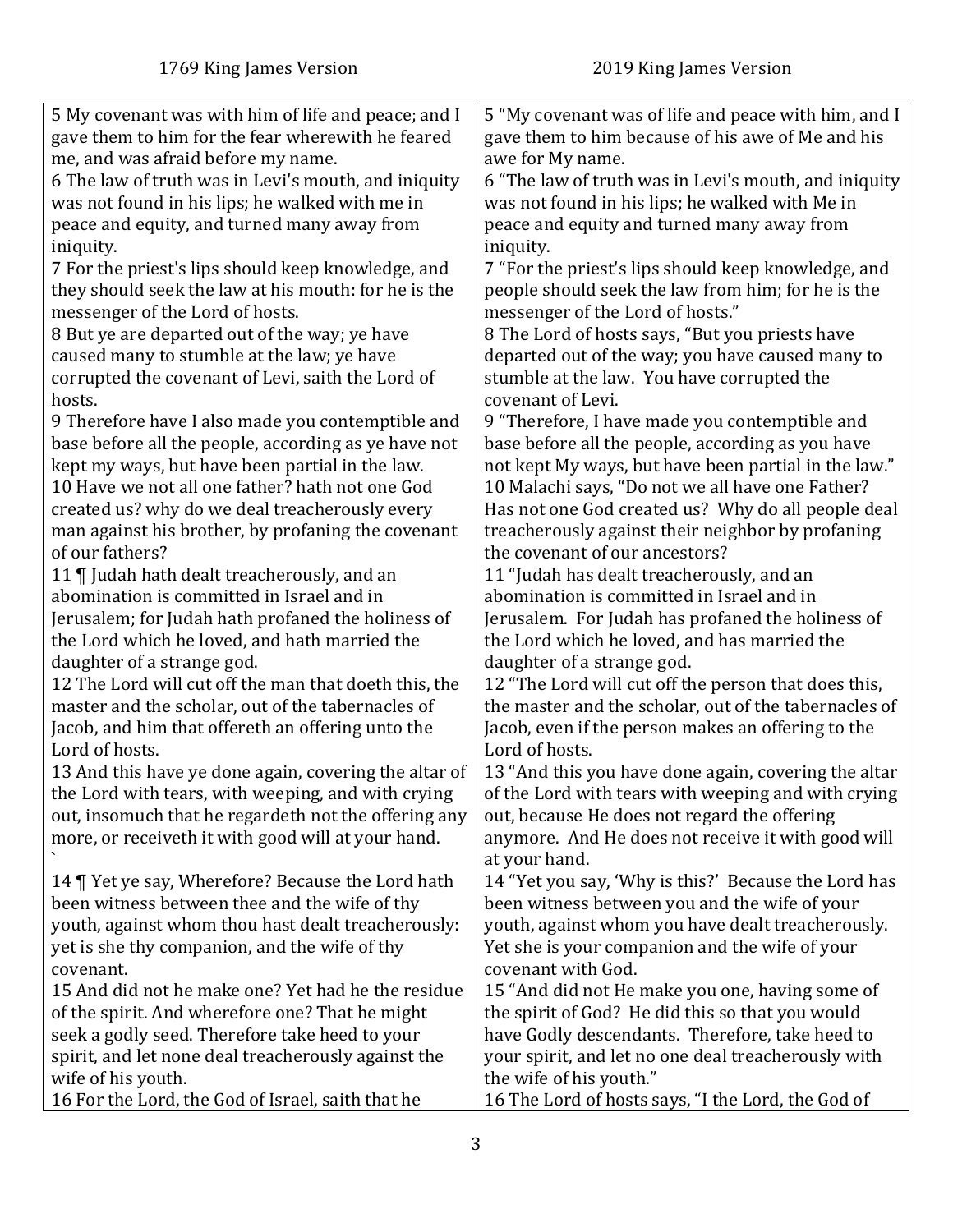| 5 My covenant was with him of life and peace; and I        | 5 "My covenant was of life and peace with him, and I                 |
|------------------------------------------------------------|----------------------------------------------------------------------|
| gave them to him for the fear wherewith he feared          | gave them to him because of his awe of Me and his                    |
| me, and was afraid before my name.                         | awe for My name.                                                     |
| 6 The law of truth was in Levi's mouth, and iniquity       | 6 "The law of truth was in Levi's mouth, and iniquity                |
| was not found in his lips; he walked with me in            | was not found in his lips; he walked with Me in                      |
| peace and equity, and turned many away from                | peace and equity and turned many away from                           |
| iniquity.                                                  | iniquity.                                                            |
| 7 For the priest's lips should keep knowledge, and         | 7 "For the priest's lips should keep knowledge, and                  |
| they should seek the law at his mouth: for he is the       | people should seek the law from him; for he is the                   |
| messenger of the Lord of hosts.                            | messenger of the Lord of hosts."                                     |
| 8 But ye are departed out of the way; ye have              | 8 The Lord of hosts says, "But you priests have                      |
| caused many to stumble at the law; ye have                 | departed out of the way; you have caused many to                     |
| corrupted the covenant of Levi, saith the Lord of          | stumble at the law. You have corrupted the                           |
| hosts.                                                     | covenant of Levi.                                                    |
| 9 Therefore have I also made you contemptible and          | 9 "Therefore, I have made you contemptible and                       |
| base before all the people, according as ye have not       | base before all the people, according as you have                    |
| kept my ways, but have been partial in the law.            | not kept My ways, but have been partial in the law."                 |
| 10 Have we not all one father? hath not one God            | 10 Malachi says, "Do not we all have one Father?                     |
| created us? why do we deal treacherously every             | Has not one God created us? Why do all people deal                   |
| man against his brother, by profaning the covenant         | treacherously against their neighbor by profaning                    |
| of our fathers?                                            | the covenant of our ancestors?                                       |
| 11   Judah hath dealt treacherously, and an                | 11 "Judah has dealt treacherously, and an                            |
| abomination is committed in Israel and in                  | abomination is committed in Israel and in                            |
| Jerusalem; for Judah hath profaned the holiness of         | Jerusalem. For Judah has profaned the holiness of                    |
| the Lord which he loved, and hath married the              | the Lord which he loved, and has married the                         |
| daughter of a strange god.                                 | daughter of a strange god.                                           |
| 12 The Lord will cut off the man that doeth this, the      | 12 "The Lord will cut off the person that does this,                 |
| master and the scholar, out of the tabernacles of          | the master and the scholar, out of the tabernacles of                |
| Jacob, and him that offereth an offering unto the          | Jacob, even if the person makes an offering to the                   |
| Lord of hosts.                                             | Lord of hosts.                                                       |
| 13 And this have ye done again, covering the altar of      | 13 "And this you have done again, covering the altar                 |
| the Lord with tears, with weeping, and with crying         | of the Lord with tears with weeping and with crying                  |
| out, insomuch that he regardeth not the offering any       | out, because He does not regard the offering                         |
| more, or receiveth it with good will at your hand.         | anymore. And He does not receive it with good will                   |
|                                                            | at your hand.                                                        |
| 14   Yet ye say, Wherefore? Because the Lord hath          | 14 "Yet you say, 'Why is this?' Because the Lord has                 |
| been witness between thee and the wife of thy              | been witness between you and the wife of your                        |
| youth, against whom thou hast dealt treacherously:         | youth, against whom you have dealt treacherously.                    |
| yet is she thy companion, and the wife of thy<br>covenant. | Yet she is your companion and the wife of your<br>covenant with God. |
| 15 And did not he make one? Yet had he the residue         | 15 "And did not He make you one, having some of                      |
| of the spirit. And wherefore one? That he might            | the spirit of God? He did this so that you would                     |
| seek a godly seed. Therefore take heed to your             | have Godly descendants. Therefore, take heed to                      |
| spirit, and let none deal treacherously against the        | your spirit, and let no one deal treacherously with                  |
| wife of his youth.                                         | the wife of his youth."                                              |
| 16 For the Lord, the God of Israel, saith that he          | 16 The Lord of hosts says, "I the Lord, the God of                   |
|                                                            |                                                                      |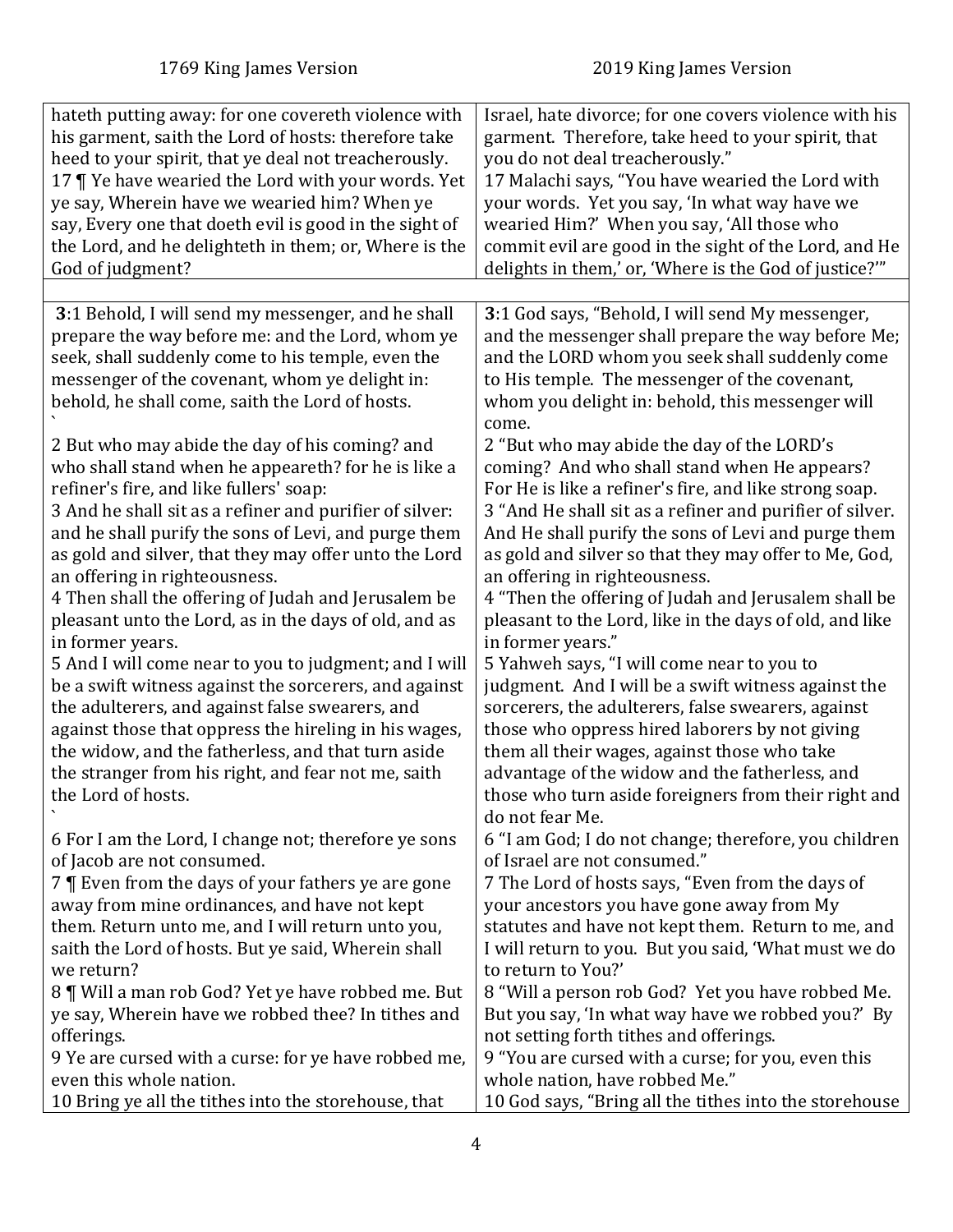<span id="page-3-0"></span>

| hateth putting away: for one covereth violence with                                                                                                                                                                                                                                                                                                                                                                                                                                                                                                                                                                                                                                                                                                                                                                                                                | Israel, hate divorce; for one covers violence with his                                                                                                                                                                                                                                                                                                                                                                                                                                                                                                                                                                                                                                                                                                                                                                                                                                              |
|--------------------------------------------------------------------------------------------------------------------------------------------------------------------------------------------------------------------------------------------------------------------------------------------------------------------------------------------------------------------------------------------------------------------------------------------------------------------------------------------------------------------------------------------------------------------------------------------------------------------------------------------------------------------------------------------------------------------------------------------------------------------------------------------------------------------------------------------------------------------|-----------------------------------------------------------------------------------------------------------------------------------------------------------------------------------------------------------------------------------------------------------------------------------------------------------------------------------------------------------------------------------------------------------------------------------------------------------------------------------------------------------------------------------------------------------------------------------------------------------------------------------------------------------------------------------------------------------------------------------------------------------------------------------------------------------------------------------------------------------------------------------------------------|
| his garment, saith the Lord of hosts: therefore take                                                                                                                                                                                                                                                                                                                                                                                                                                                                                                                                                                                                                                                                                                                                                                                                               | garment. Therefore, take heed to your spirit, that                                                                                                                                                                                                                                                                                                                                                                                                                                                                                                                                                                                                                                                                                                                                                                                                                                                  |
| heed to your spirit, that ye deal not treacherously.                                                                                                                                                                                                                                                                                                                                                                                                                                                                                                                                                                                                                                                                                                                                                                                                               | you do not deal treacherously."                                                                                                                                                                                                                                                                                                                                                                                                                                                                                                                                                                                                                                                                                                                                                                                                                                                                     |
| 17   Ye have wearied the Lord with your words. Yet                                                                                                                                                                                                                                                                                                                                                                                                                                                                                                                                                                                                                                                                                                                                                                                                                 | 17 Malachi says, "You have wearied the Lord with                                                                                                                                                                                                                                                                                                                                                                                                                                                                                                                                                                                                                                                                                                                                                                                                                                                    |
| ye say, Wherein have we wearied him? When ye                                                                                                                                                                                                                                                                                                                                                                                                                                                                                                                                                                                                                                                                                                                                                                                                                       | your words. Yet you say, 'In what way have we                                                                                                                                                                                                                                                                                                                                                                                                                                                                                                                                                                                                                                                                                                                                                                                                                                                       |
| say, Every one that doeth evil is good in the sight of                                                                                                                                                                                                                                                                                                                                                                                                                                                                                                                                                                                                                                                                                                                                                                                                             | wearied Him?' When you say, 'All those who                                                                                                                                                                                                                                                                                                                                                                                                                                                                                                                                                                                                                                                                                                                                                                                                                                                          |
| the Lord, and he delighteth in them; or, Where is the                                                                                                                                                                                                                                                                                                                                                                                                                                                                                                                                                                                                                                                                                                                                                                                                              | commit evil are good in the sight of the Lord, and He                                                                                                                                                                                                                                                                                                                                                                                                                                                                                                                                                                                                                                                                                                                                                                                                                                               |
| God of judgment?                                                                                                                                                                                                                                                                                                                                                                                                                                                                                                                                                                                                                                                                                                                                                                                                                                                   | delights in them,' or, 'Where is the God of justice?'"                                                                                                                                                                                                                                                                                                                                                                                                                                                                                                                                                                                                                                                                                                                                                                                                                                              |
|                                                                                                                                                                                                                                                                                                                                                                                                                                                                                                                                                                                                                                                                                                                                                                                                                                                                    |                                                                                                                                                                                                                                                                                                                                                                                                                                                                                                                                                                                                                                                                                                                                                                                                                                                                                                     |
| 3:1 Behold, I will send my messenger, and he shall<br>prepare the way before me: and the Lord, whom ye<br>seek, shall suddenly come to his temple, even the<br>messenger of the covenant, whom ye delight in:<br>behold, he shall come, saith the Lord of hosts.                                                                                                                                                                                                                                                                                                                                                                                                                                                                                                                                                                                                   | 3:1 God says, "Behold, I will send My messenger,<br>and the messenger shall prepare the way before Me;<br>and the LORD whom you seek shall suddenly come<br>to His temple. The messenger of the covenant,<br>whom you delight in: behold, this messenger will<br>come.                                                                                                                                                                                                                                                                                                                                                                                                                                                                                                                                                                                                                              |
| 2 But who may abide the day of his coming? and<br>who shall stand when he appeareth? for he is like a<br>refiner's fire, and like fullers' soap:<br>3 And he shall sit as a refiner and purifier of silver:<br>and he shall purify the sons of Levi, and purge them<br>as gold and silver, that they may offer unto the Lord<br>an offering in righteousness.<br>4 Then shall the offering of Judah and Jerusalem be<br>pleasant unto the Lord, as in the days of old, and as<br>in former years.<br>5 And I will come near to you to judgment; and I will<br>be a swift witness against the sorcerers, and against<br>the adulterers, and against false swearers, and<br>against those that oppress the hireling in his wages,<br>the widow, and the fatherless, and that turn aside<br>the stranger from his right, and fear not me, saith<br>the Lord of hosts. | 2 "But who may abide the day of the LORD's<br>coming? And who shall stand when He appears?<br>For He is like a refiner's fire, and like strong soap.<br>3 "And He shall sit as a refiner and purifier of silver.<br>And He shall purify the sons of Levi and purge them<br>as gold and silver so that they may offer to Me, God,<br>an offering in righteousness.<br>4 "Then the offering of Judah and Jerusalem shall be<br>pleasant to the Lord, like in the days of old, and like<br>in former years."<br>5 Yahweh says, "I will come near to you to<br>judgment. And I will be a swift witness against the<br>sorcerers, the adulterers, false swearers, against<br>those who oppress hired laborers by not giving<br>them all their wages, against those who take<br>advantage of the widow and the fatherless, and<br>those who turn aside foreigners from their right and<br>do not fear Me. |
| 6 For I am the Lord, I change not; therefore ye sons                                                                                                                                                                                                                                                                                                                                                                                                                                                                                                                                                                                                                                                                                                                                                                                                               | 6 "I am God; I do not change; therefore, you children                                                                                                                                                                                                                                                                                                                                                                                                                                                                                                                                                                                                                                                                                                                                                                                                                                               |
| of Jacob are not consumed.                                                                                                                                                                                                                                                                                                                                                                                                                                                                                                                                                                                                                                                                                                                                                                                                                                         | of Israel are not consumed."                                                                                                                                                                                                                                                                                                                                                                                                                                                                                                                                                                                                                                                                                                                                                                                                                                                                        |
| 7   Even from the days of your fathers ye are gone                                                                                                                                                                                                                                                                                                                                                                                                                                                                                                                                                                                                                                                                                                                                                                                                                 | 7 The Lord of hosts says, "Even from the days of                                                                                                                                                                                                                                                                                                                                                                                                                                                                                                                                                                                                                                                                                                                                                                                                                                                    |
| away from mine ordinances, and have not kept                                                                                                                                                                                                                                                                                                                                                                                                                                                                                                                                                                                                                                                                                                                                                                                                                       | your ancestors you have gone away from My                                                                                                                                                                                                                                                                                                                                                                                                                                                                                                                                                                                                                                                                                                                                                                                                                                                           |
| them. Return unto me, and I will return unto you,                                                                                                                                                                                                                                                                                                                                                                                                                                                                                                                                                                                                                                                                                                                                                                                                                  | statutes and have not kept them. Return to me, and                                                                                                                                                                                                                                                                                                                                                                                                                                                                                                                                                                                                                                                                                                                                                                                                                                                  |
| saith the Lord of hosts. But ye said, Wherein shall                                                                                                                                                                                                                                                                                                                                                                                                                                                                                                                                                                                                                                                                                                                                                                                                                | I will return to you. But you said, 'What must we do                                                                                                                                                                                                                                                                                                                                                                                                                                                                                                                                                                                                                                                                                                                                                                                                                                                |
| we return?                                                                                                                                                                                                                                                                                                                                                                                                                                                                                                                                                                                                                                                                                                                                                                                                                                                         | to return to You?'                                                                                                                                                                                                                                                                                                                                                                                                                                                                                                                                                                                                                                                                                                                                                                                                                                                                                  |
| 8   Will a man rob God? Yet ye have robbed me. But                                                                                                                                                                                                                                                                                                                                                                                                                                                                                                                                                                                                                                                                                                                                                                                                                 | 8 "Will a person rob God? Yet you have robbed Me.                                                                                                                                                                                                                                                                                                                                                                                                                                                                                                                                                                                                                                                                                                                                                                                                                                                   |
| ye say, Wherein have we robbed thee? In tithes and                                                                                                                                                                                                                                                                                                                                                                                                                                                                                                                                                                                                                                                                                                                                                                                                                 | But you say, 'In what way have we robbed you?' By                                                                                                                                                                                                                                                                                                                                                                                                                                                                                                                                                                                                                                                                                                                                                                                                                                                   |
| offerings.                                                                                                                                                                                                                                                                                                                                                                                                                                                                                                                                                                                                                                                                                                                                                                                                                                                         | not setting forth tithes and offerings.                                                                                                                                                                                                                                                                                                                                                                                                                                                                                                                                                                                                                                                                                                                                                                                                                                                             |
| 9 Ye are cursed with a curse: for ye have robbed me,                                                                                                                                                                                                                                                                                                                                                                                                                                                                                                                                                                                                                                                                                                                                                                                                               | 9 "You are cursed with a curse; for you, even this                                                                                                                                                                                                                                                                                                                                                                                                                                                                                                                                                                                                                                                                                                                                                                                                                                                  |
| even this whole nation.                                                                                                                                                                                                                                                                                                                                                                                                                                                                                                                                                                                                                                                                                                                                                                                                                                            | whole nation, have robbed Me."                                                                                                                                                                                                                                                                                                                                                                                                                                                                                                                                                                                                                                                                                                                                                                                                                                                                      |
| 10 Bring ye all the tithes into the storehouse, that                                                                                                                                                                                                                                                                                                                                                                                                                                                                                                                                                                                                                                                                                                                                                                                                               | 10 God says, "Bring all the tithes into the storehouse                                                                                                                                                                                                                                                                                                                                                                                                                                                                                                                                                                                                                                                                                                                                                                                                                                              |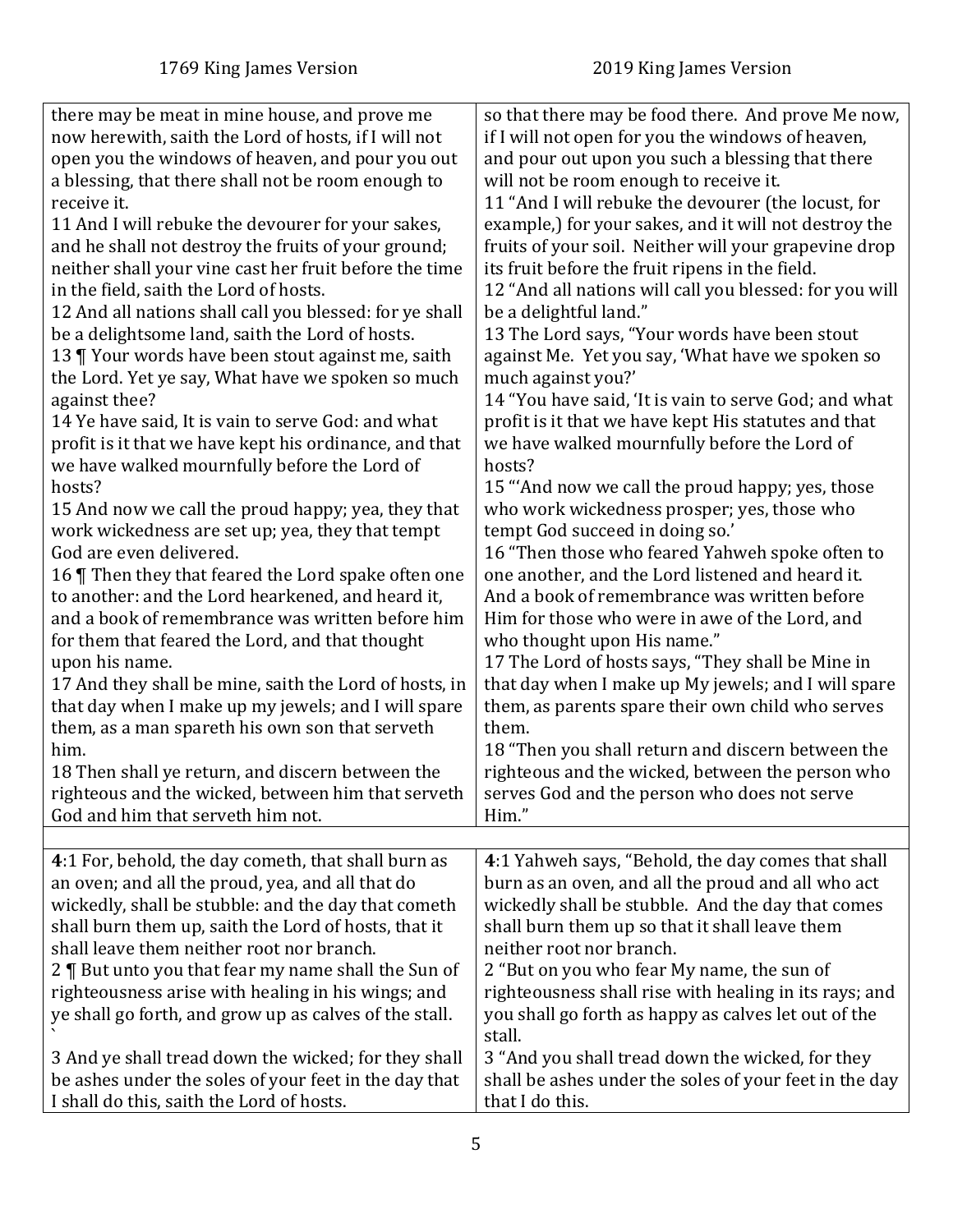<span id="page-4-0"></span>

| there may be meat in mine house, and prove me                                                                                                                                                                                                                                                                                                                                                                                                                                                      | so that there may be food there. And prove Me now,                                                                                                                                                                                                                                                                                                                                                                                                                        |
|----------------------------------------------------------------------------------------------------------------------------------------------------------------------------------------------------------------------------------------------------------------------------------------------------------------------------------------------------------------------------------------------------------------------------------------------------------------------------------------------------|---------------------------------------------------------------------------------------------------------------------------------------------------------------------------------------------------------------------------------------------------------------------------------------------------------------------------------------------------------------------------------------------------------------------------------------------------------------------------|
| now herewith, saith the Lord of hosts, if I will not                                                                                                                                                                                                                                                                                                                                                                                                                                               | if I will not open for you the windows of heaven,                                                                                                                                                                                                                                                                                                                                                                                                                         |
| open you the windows of heaven, and pour you out                                                                                                                                                                                                                                                                                                                                                                                                                                                   | and pour out upon you such a blessing that there                                                                                                                                                                                                                                                                                                                                                                                                                          |
| a blessing, that there shall not be room enough to                                                                                                                                                                                                                                                                                                                                                                                                                                                 | will not be room enough to receive it.                                                                                                                                                                                                                                                                                                                                                                                                                                    |
| receive it.                                                                                                                                                                                                                                                                                                                                                                                                                                                                                        | 11 "And I will rebuke the devourer (the locust, for                                                                                                                                                                                                                                                                                                                                                                                                                       |
| 11 And I will rebuke the devourer for your sakes,                                                                                                                                                                                                                                                                                                                                                                                                                                                  | example,) for your sakes, and it will not destroy the                                                                                                                                                                                                                                                                                                                                                                                                                     |
| and he shall not destroy the fruits of your ground;                                                                                                                                                                                                                                                                                                                                                                                                                                                | fruits of your soil. Neither will your grapevine drop                                                                                                                                                                                                                                                                                                                                                                                                                     |
| neither shall your vine cast her fruit before the time                                                                                                                                                                                                                                                                                                                                                                                                                                             | its fruit before the fruit ripens in the field.                                                                                                                                                                                                                                                                                                                                                                                                                           |
| in the field, saith the Lord of hosts.                                                                                                                                                                                                                                                                                                                                                                                                                                                             | 12 "And all nations will call you blessed: for you will                                                                                                                                                                                                                                                                                                                                                                                                                   |
| 12 And all nations shall call you blessed: for ye shall                                                                                                                                                                                                                                                                                                                                                                                                                                            | be a delightful land."                                                                                                                                                                                                                                                                                                                                                                                                                                                    |
| be a delightsome land, saith the Lord of hosts.                                                                                                                                                                                                                                                                                                                                                                                                                                                    | 13 The Lord says, "Your words have been stout                                                                                                                                                                                                                                                                                                                                                                                                                             |
| 13   Your words have been stout against me, saith                                                                                                                                                                                                                                                                                                                                                                                                                                                  | against Me. Yet you say, 'What have we spoken so                                                                                                                                                                                                                                                                                                                                                                                                                          |
| the Lord. Yet ye say, What have we spoken so much                                                                                                                                                                                                                                                                                                                                                                                                                                                  | much against you?'                                                                                                                                                                                                                                                                                                                                                                                                                                                        |
| against thee?                                                                                                                                                                                                                                                                                                                                                                                                                                                                                      | 14 "You have said, 'It is vain to serve God; and what                                                                                                                                                                                                                                                                                                                                                                                                                     |
| 14 Ye have said, It is vain to serve God: and what                                                                                                                                                                                                                                                                                                                                                                                                                                                 | profit is it that we have kept His statutes and that                                                                                                                                                                                                                                                                                                                                                                                                                      |
| profit is it that we have kept his ordinance, and that                                                                                                                                                                                                                                                                                                                                                                                                                                             | we have walked mournfully before the Lord of                                                                                                                                                                                                                                                                                                                                                                                                                              |
| we have walked mournfully before the Lord of                                                                                                                                                                                                                                                                                                                                                                                                                                                       | hosts?                                                                                                                                                                                                                                                                                                                                                                                                                                                                    |
| hosts?                                                                                                                                                                                                                                                                                                                                                                                                                                                                                             | 15 "And now we call the proud happy; yes, those                                                                                                                                                                                                                                                                                                                                                                                                                           |
| 15 And now we call the proud happy; yea, they that                                                                                                                                                                                                                                                                                                                                                                                                                                                 | who work wickedness prosper; yes, those who                                                                                                                                                                                                                                                                                                                                                                                                                               |
| work wickedness are set up; yea, they that tempt                                                                                                                                                                                                                                                                                                                                                                                                                                                   | tempt God succeed in doing so.'                                                                                                                                                                                                                                                                                                                                                                                                                                           |
| God are even delivered.                                                                                                                                                                                                                                                                                                                                                                                                                                                                            | 16 "Then those who feared Yahweh spoke often to                                                                                                                                                                                                                                                                                                                                                                                                                           |
| 16   Then they that feared the Lord spake often one                                                                                                                                                                                                                                                                                                                                                                                                                                                | one another, and the Lord listened and heard it.                                                                                                                                                                                                                                                                                                                                                                                                                          |
| to another: and the Lord hearkened, and heard it,                                                                                                                                                                                                                                                                                                                                                                                                                                                  | And a book of remembrance was written before                                                                                                                                                                                                                                                                                                                                                                                                                              |
| and a book of remembrance was written before him                                                                                                                                                                                                                                                                                                                                                                                                                                                   | Him for those who were in awe of the Lord, and                                                                                                                                                                                                                                                                                                                                                                                                                            |
| for them that feared the Lord, and that thought                                                                                                                                                                                                                                                                                                                                                                                                                                                    | who thought upon His name."                                                                                                                                                                                                                                                                                                                                                                                                                                               |
| upon his name.                                                                                                                                                                                                                                                                                                                                                                                                                                                                                     | 17 The Lord of hosts says, "They shall be Mine in                                                                                                                                                                                                                                                                                                                                                                                                                         |
| 17 And they shall be mine, saith the Lord of hosts, in                                                                                                                                                                                                                                                                                                                                                                                                                                             | that day when I make up My jewels; and I will spare                                                                                                                                                                                                                                                                                                                                                                                                                       |
| that day when I make up my jewels; and I will spare                                                                                                                                                                                                                                                                                                                                                                                                                                                | them, as parents spare their own child who serves                                                                                                                                                                                                                                                                                                                                                                                                                         |
| them, as a man spareth his own son that serveth                                                                                                                                                                                                                                                                                                                                                                                                                                                    | them.                                                                                                                                                                                                                                                                                                                                                                                                                                                                     |
| him.                                                                                                                                                                                                                                                                                                                                                                                                                                                                                               | 18 "Then you shall return and discern between the                                                                                                                                                                                                                                                                                                                                                                                                                         |
| 18 Then shall ye return, and discern between the                                                                                                                                                                                                                                                                                                                                                                                                                                                   | righteous and the wicked, between the person who                                                                                                                                                                                                                                                                                                                                                                                                                          |
| righteous and the wicked, between him that serveth                                                                                                                                                                                                                                                                                                                                                                                                                                                 | serves God and the person who does not serve                                                                                                                                                                                                                                                                                                                                                                                                                              |
| God and him that serveth him not.                                                                                                                                                                                                                                                                                                                                                                                                                                                                  | Him."                                                                                                                                                                                                                                                                                                                                                                                                                                                                     |
|                                                                                                                                                                                                                                                                                                                                                                                                                                                                                                    |                                                                                                                                                                                                                                                                                                                                                                                                                                                                           |
| 4:1 For, behold, the day cometh, that shall burn as<br>an oven; and all the proud, yea, and all that do<br>wickedly, shall be stubble: and the day that cometh<br>shall burn them up, saith the Lord of hosts, that it<br>shall leave them neither root nor branch.<br>2   But unto you that fear my name shall the Sun of<br>righteousness arise with healing in his wings; and<br>ye shall go forth, and grow up as calves of the stall.<br>3 And ye shall tread down the wicked; for they shall | 4:1 Yahweh says, "Behold, the day comes that shall<br>burn as an oven, and all the proud and all who act<br>wickedly shall be stubble. And the day that comes<br>shall burn them up so that it shall leave them<br>neither root nor branch.<br>2 "But on you who fear My name, the sun of<br>righteousness shall rise with healing in its rays; and<br>you shall go forth as happy as calves let out of the<br>stall.<br>3 "And you shall tread down the wicked, for they |
| be ashes under the soles of your feet in the day that                                                                                                                                                                                                                                                                                                                                                                                                                                              | shall be ashes under the soles of your feet in the day                                                                                                                                                                                                                                                                                                                                                                                                                    |
| I shall do this, saith the Lord of hosts.                                                                                                                                                                                                                                                                                                                                                                                                                                                          | that I do this.                                                                                                                                                                                                                                                                                                                                                                                                                                                           |